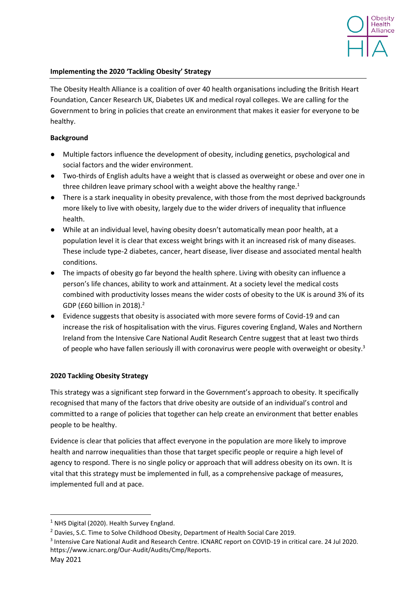

#### **Implementing the 2020 'Tackling Obesity' Strategy**

The Obesity Health Alliance is a coalition of over 40 health organisations including the British Heart Foundation, Cancer Research UK, Diabetes UK and medical royal colleges. We are calling for the Government to bring in policies that create an environment that makes it easier for everyone to be healthy.

#### **Background**

- Multiple factors influence the development of obesity, including genetics, psychological and social factors and the wider environment.
- Two-thirds of English adults have a weight that is classed as overweight or obese and over one in three children leave primary school with a weight above the healthy range.<sup>1</sup>
- There is a stark inequality in obesity prevalence, with those from the most deprived backgrounds more likely to live with obesity, largely due to the wider drivers of inequality that influence health.
- While at an individual level, having obesity doesn't automatically mean poor health, at a population level it is clear that excess weight brings with it an increased risk of many diseases. These include type-2 diabetes, cancer, heart disease, liver disease and associated mental health conditions.
- The impacts of obesity go far beyond the health sphere. Living with obesity can influence a person's life chances, ability to work and attainment. At a society level the medical costs combined with productivity losses means the wider costs of obesity to the UK is around 3% of its GDP (£60 billion in 2018).<sup>2</sup>
- Evidence suggests that obesity is associated with more severe forms of Covid-19 and can increase the risk of hospitalisation with the virus. Figures covering England, Wales and Northern Ireland from the Intensive Care National Audit Research Centre suggest that at least two thirds of people who have fallen seriously ill with coronavirus were people with overweight or obesity.<sup>3</sup>

# **2020 Tackling Obesity Strategy**

This strategy was a significant step forward in the Government's approach to obesity. It specifically recognised that many of the factors that drive obesity are outside of an individual's control and committed to a range of policies that together can help create an environment that better enables people to be healthy.

Evidence is clear that policies that affect everyone in the population are more likely to improve health and narrow inequalities than those that target specific people or require a high level of agency to respond. There is no single policy or approach that will address obesity on its own. It is vital that this strategy must be implemented in full, as a comprehensive package of measures, implemented full and at pace.

<sup>3</sup> Intensive Care National Audit and Research Centre. ICNARC report on COVID-19 in critical care. 24 Jul 2020. https://www.icnarc.org/Our-Audit/Audits/Cmp/Reports.

 $1$  NHS Digital (2020). Health Survey England.

<sup>&</sup>lt;sup>2</sup> Davies, S.C. Time to Solve Childhood Obesity, Department of Health Social Care 2019.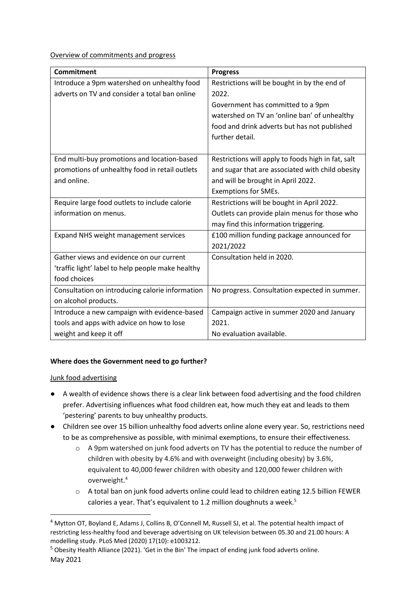Overview of commitments and progress

| <b>Commitment</b>                                 | <b>Progress</b>                                    |
|---------------------------------------------------|----------------------------------------------------|
| Introduce a 9pm watershed on unhealthy food       | Restrictions will be bought in by the end of       |
| adverts on TV and consider a total ban online     | 2022.                                              |
|                                                   | Government has committed to a 9pm                  |
|                                                   | watershed on TV an 'online ban' of unhealthy       |
|                                                   | food and drink adverts but has not published       |
|                                                   | further detail.                                    |
|                                                   |                                                    |
| End multi-buy promotions and location-based       | Restrictions will apply to foods high in fat, salt |
| promotions of unhealthy food in retail outlets    | and sugar that are associated with child obesity   |
| and online.                                       | and will be brought in April 2022.                 |
|                                                   | Exemptions for SMEs.                               |
| Require large food outlets to include calorie     | Restrictions will be bought in April 2022.         |
| information on menus.                             | Outlets can provide plain menus for those who      |
|                                                   | may find this information triggering.              |
| Expand NHS weight management services             | £100 million funding package announced for         |
|                                                   | 2021/2022                                          |
| Gather views and evidence on our current          | Consultation held in 2020.                         |
| 'traffic light' label to help people make healthy |                                                    |
| food choices                                      |                                                    |
| Consultation on introducing calorie information   | No progress. Consultation expected in summer.      |
| on alcohol products.                              |                                                    |
| Introduce a new campaign with evidence-based      | Campaign active in summer 2020 and January         |
| tools and apps with advice on how to lose         | 2021.                                              |
| weight and keep it off                            | No evaluation available.                           |

# **Where does the Government need to go further?**

# Junk food advertising

- A wealth of evidence shows there is a clear link between food advertising and the food children prefer. Advertising influences what food children eat, how much they eat and leads to them 'pestering' parents to buy unhealthy products.
- Children see over 15 billion unhealthy food adverts online alone every year. So, restrictions need to be as comprehensive as possible, with minimal exemptions, to ensure their effectiveness.
	- o A 9pm watershed on junk food adverts on TV has the potential to reduce the number of children with obesity by 4.6% and with overweight (including obesity) by 3.6%, equivalent to 40,000 fewer children with obesity and 120,000 fewer children with overweight.<sup>4</sup>
	- $\circ$  A total ban on junk food adverts online could lead to children eating 12.5 billion FEWER calories a year. That's equivalent to 1.2 million doughnuts a week.<sup>5</sup>

<sup>4</sup> Mytton OT, Boyland E, Adams J, Collins B, O'Connell M, Russell SJ, et al. The potential health impact of restricting less-healthy food and beverage advertising on UK television between 05.30 and 21.00 hours: A modelling study. PLoS Med (2020) 17(10): e1003212.

May 2021 <sup>5</sup> Obesity Health Alliance (2021). 'Get in the Bin' The impact of ending junk food adverts online.